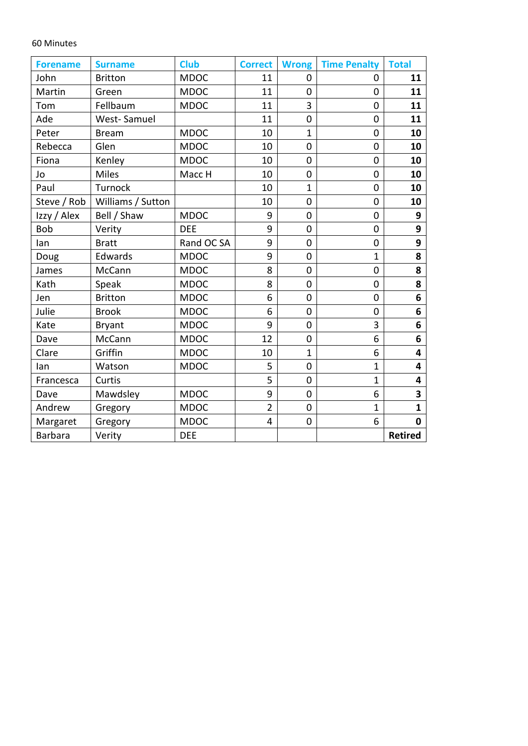## 60 Minutes

| <b>Forename</b> | <b>Surname</b>    | <b>Club</b> | <b>Correct</b> | <b>Wrong</b>   | <b>Time Penalty</b> | <b>Total</b>   |
|-----------------|-------------------|-------------|----------------|----------------|---------------------|----------------|
| John            | <b>Britton</b>    | <b>MDOC</b> | 11             | $\overline{0}$ | $\Omega$            | 11             |
| Martin          | Green             | <b>MDOC</b> | 11             | $\mathbf 0$    | 0                   | 11             |
| Tom             | Fellbaum          | <b>MDOC</b> | 11             | 3              | $\overline{0}$      | 11             |
| Ade             | West-Samuel       |             | 11             | $\mathbf 0$    | $\overline{0}$      | 11             |
| Peter           | <b>Bream</b>      | <b>MDOC</b> | 10             | $\mathbf{1}$   | 0                   | 10             |
| Rebecca         | Glen              | <b>MDOC</b> | 10             | $\mathbf 0$    | $\overline{0}$      | 10             |
| Fiona           | Kenley            | <b>MDOC</b> | 10             | $\overline{0}$ | 0                   | 10             |
| Jo              | Miles             | Macc H      | 10             | $\overline{0}$ | 0                   | 10             |
| Paul            | Turnock           |             | 10             | $\mathbf{1}$   | 0                   | 10             |
| Steve / Rob     | Williams / Sutton |             | 10             | $\overline{0}$ | $\overline{0}$      | 10             |
| Izzy / Alex     | Bell / Shaw       | <b>MDOC</b> | 9              | $\overline{0}$ | $\overline{0}$      | 9              |
| Bob             | Verity            | <b>DEE</b>  | 9              | $\mathbf 0$    | $\overline{0}$      | 9              |
| lan             | <b>Bratt</b>      | Rand OC SA  | 9              | $\overline{0}$ | $\overline{0}$      | 9              |
| Doug            | Edwards           | <b>MDOC</b> | 9              | $\overline{0}$ | $\overline{1}$      | 8              |
| James           | McCann            | <b>MDOC</b> | 8              | $\mathbf 0$    | $\overline{0}$      | 8              |
| Kath            | Speak             | <b>MDOC</b> | 8              | $\overline{0}$ | $\overline{0}$      | 8              |
| Jen             | <b>Britton</b>    | <b>MDOC</b> | 6              | $\overline{0}$ | 0                   | 6              |
| Julie           | <b>Brook</b>      | <b>MDOC</b> | 6              | $\mathbf 0$    | $\overline{0}$      | 6              |
| Kate            | <b>Bryant</b>     | <b>MDOC</b> | 9              | $\overline{0}$ | 3                   | 6              |
| Dave            | McCann            | <b>MDOC</b> | 12             | $\overline{0}$ | 6                   | 6              |
| Clare           | Griffin           | <b>MDOC</b> | 10             | $\mathbf{1}$   | 6                   | 4              |
| lan             | Watson            | <b>MDOC</b> | 5              | $\mathbf 0$    | $\mathbf{1}$        | 4              |
| Francesca       | Curtis            |             | 5              | $\overline{0}$ | $\mathbf{1}$        | 4              |
| Dave            | Mawdsley          | <b>MDOC</b> | 9              | $\mathbf 0$    | 6                   | 3              |
| Andrew          | Gregory           | <b>MDOC</b> | $\overline{2}$ | $\mathbf 0$    | $\mathbf 1$         | $\mathbf{1}$   |
| Margaret        | Gregory           | <b>MDOC</b> | 4              | $\overline{0}$ | 6                   | 0              |
| <b>Barbara</b>  | Verity            | <b>DEE</b>  |                |                |                     | <b>Retired</b> |